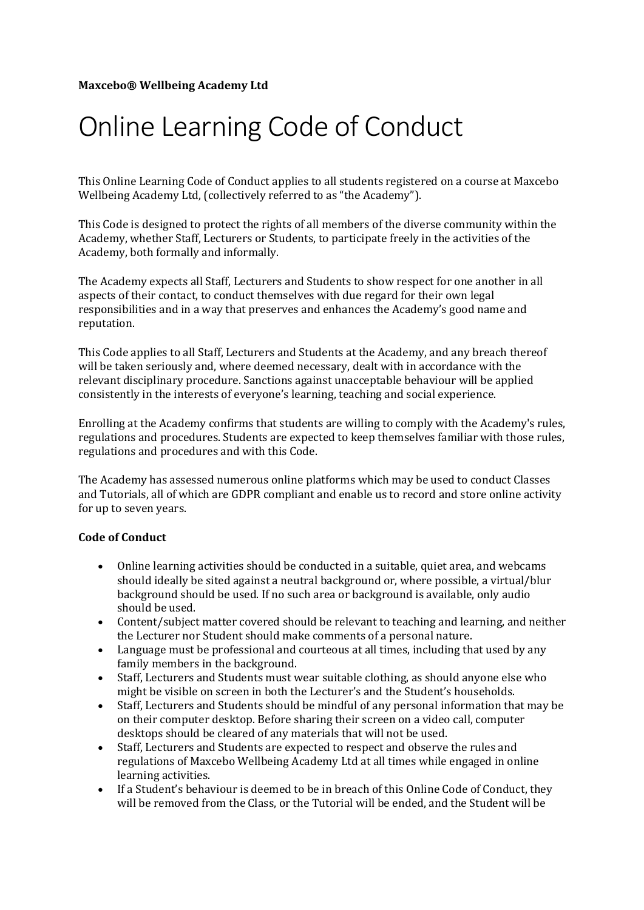## Online Learning Code of Conduct

This Online Learning Code of Conduct applies to all students registered on a course at Maxcebo Wellbeing Academy Ltd, (collectively referred to as "the Academy").

This Code is designed to protect the rights of all members of the diverse community within the Academy, whether Staff, Lecturers or Students, to participate freely in the activities of the Academy, both formally and informally.

The Academy expects all Staff, Lecturers and Students to show respect for one another in all aspects of their contact, to conduct themselves with due regard for their own legal responsibilities and in a way that preserves and enhances the Academy's good name and reputation. 

This Code applies to all Staff, Lecturers and Students at the Academy, and any breach thereof will be taken seriously and, where deemed necessary, dealt with in accordance with the relevant disciplinary procedure. Sanctions against unacceptable behaviour will be applied consistently in the interests of everyone's learning, teaching and social experience.

Enrolling at the Academy confirms that students are willing to comply with the Academy's rules, regulations and procedures. Students are expected to keep themselves familiar with those rules, regulations and procedures and with this Code.

The Academy has assessed numerous online platforms which may be used to conduct Classes and Tutorials, all of which are GDPR compliant and enable us to record and store online activity for up to seven years.

## **Code of Conduct**

- Online learning activities should be conducted in a suitable, quiet area, and webcams should ideally be sited against a neutral background or, where possible, a virtual/blur background should be used. If no such area or background is available, only audio should be used.
- Content/subject matter covered should be relevant to teaching and learning, and neither the Lecturer nor Student should make comments of a personal nature.
- Language must be professional and courteous at all times, including that used by any family members in the background.
- Staff, Lecturers and Students must wear suitable clothing, as should anyone else who might be visible on screen in both the Lecturer's and the Student's households.
- Staff, Lecturers and Students should be mindful of any personal information that may be on their computer desktop. Before sharing their screen on a video call, computer desktops should be cleared of any materials that will not be used.
- Staff, Lecturers and Students are expected to respect and observe the rules and regulations of Maxcebo Wellbeing Academy Ltd at all times while engaged in online learning activities.
- If a Student's behaviour is deemed to be in breach of this Online Code of Conduct, they will be removed from the Class, or the Tutorial will be ended, and the Student will be